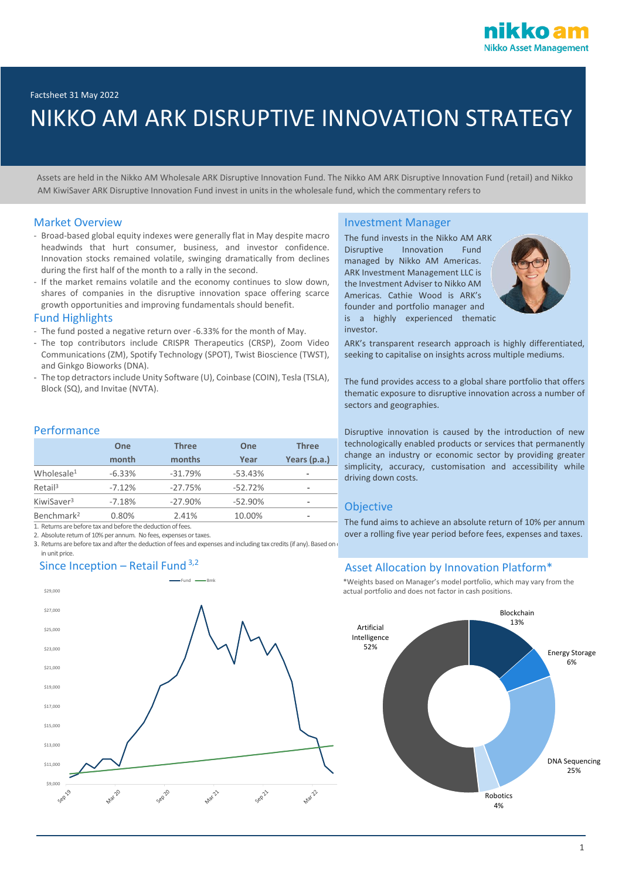

# NIKKO AM ARK DISRUPTIVE INNOVATION STRATEGY

 Assets are held in the Nikko AM Wholesale ARK Disruptive Innovation Fund. The Nikko AM ARK Disruptive Innovation Fund (retail) and Nikko AM KiwiSaver ARK Disruptive Innovation Fund invest in units in the wholesale fund, which the commentary refers to

## Market Overview

- Broad-based global equity indexes were generally flat in May despite macro headwinds that hurt consumer, business, and investor confidence. Innovation stocks remained volatile, swinging dramatically from declines during the first half of the month to a rally in the second.
- If the market remains volatile and the economy continues to slow down, shares of companies in the disruptive innovation space offering scarce growth opportunities and improving fundamentals should benefit.

## Fund Highlights

- The fund posted a negative return over -6.33% for the month of May.
- The top contributors include CRISPR Therapeutics (CRSP), Zoom Video Communications (ZM), Spotify Technology (SPOT), Twist Bioscience (TWST), and Ginkgo Bioworks (DNA).
- The top detractors include Unity Software (U), Coinbase (COIN), Tesla (TSLA), Block (SQ), and Invitae (NVTA).

## Performance

in unit price.

|                        | One      | <b>Three</b> | One       | <b>Three</b>             |  |
|------------------------|----------|--------------|-----------|--------------------------|--|
|                        | month    | months       | Year      | Years (p.a.)             |  |
| Wholesale <sup>1</sup> | $-6.33%$ | $-31.79%$    | $-53.43%$ | $\overline{\phantom{a}}$ |  |
| Retail <sup>3</sup>    | $-7.12%$ | $-27.75%$    | $-52.72%$ | -                        |  |
| KiwiSaver <sup>3</sup> | $-7.18%$ | $-27.90%$    | $-52.90%$ | $\overline{\phantom{a}}$ |  |
| Benchmark <sup>2</sup> | 0.80%    | 2.41%        | 10.00%    | $\overline{\phantom{a}}$ |  |

1. Returns are before tax and before the deduction of fees.

2. Absolute return of 10% per annum. No fees, expenses or taxes.

3. Returns are before tax and after the deduction of fees and expenses and including tax credits (if any). Based on



## Investment Manager

The fund invests in the Nikko AM ARK Disruptive Innovation Fund managed by Nikko AM Americas. ARK Investment Management LLC is the Investment Adviser to Nikko AM Americas. Cathie Wood is ARK's founder and portfolio manager and is a highly experienced thematic investor.



ARK's transparent research approach is highly differentiated, seeking to capitalise on insights across multiple mediums.

The fund provides access to a global share portfolio that offers thematic exposure to disruptive innovation across a number of sectors and geographies.

Disruptive innovation is caused by the introduction of new technologically enabled products or services that permanently change an industry or economic sector by providing greater simplicity, accuracy, customisation and accessibility while driving down costs.

## **Objective**

The fund aims to achieve an absolute return of 10% per annum over a rolling five year period before fees, expenses and taxes.

## Since Inception – Retail Fund  $3,2$  Asset Allocation by Innovation Platform\*

\*Weights based on Manager's model portfolio, which may vary from the actual portfolio and does not factor in cash positions.